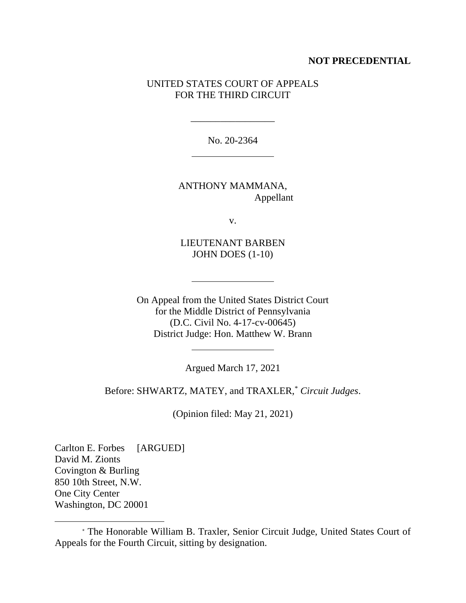## **NOT PRECEDENTIAL**

# UNITED STATES COURT OF APPEALS FOR THE THIRD CIRCUIT

No. 20-2364

\_\_\_\_\_\_\_\_\_\_\_\_\_\_\_\_\_

ANTHONY MAMMANA, Appellant

v.

LIEUTENANT BARBEN JOHN DOES (1-10)

On Appeal from the United States District Court for the Middle District of Pennsylvania (D.C. Civil No. 4-17-cv-00645) District Judge: Hon. Matthew W. Brann

Argued March 17, 2021

Before: SHWARTZ, MATEY, and TRAXLER, \* *Circuit Judges*.

(Opinion filed: May 21, 2021)

Carlton E. Forbes [ARGUED] David M. Zionts Covington & Burling 850 10th Street, N.W. One City Center Washington, DC 20001

<sup>\*</sup> The Honorable William B. Traxler, Senior Circuit Judge, United States Court of Appeals for the Fourth Circuit, sitting by designation.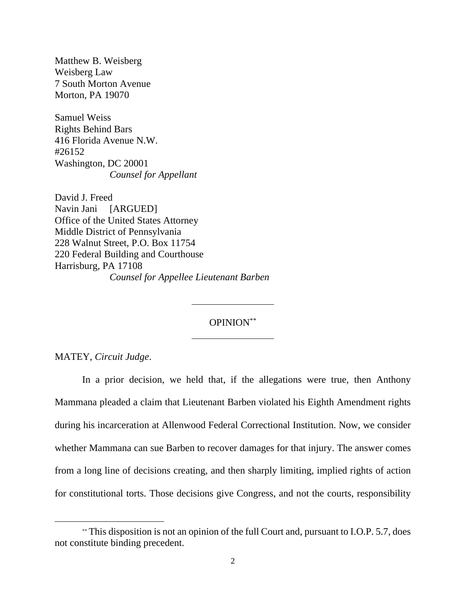Matthew B. Weisberg Weisberg Law 7 South Morton Avenue Morton, PA 19070

Samuel Weiss Rights Behind Bars 416 Florida Avenue N.W. #26152 Washington, DC 20001 *Counsel for Appellant*

David J. Freed Navin Jani [ARGUED] Office of the United States Attorney Middle District of Pennsylvania 228 Walnut Street, P.O. Box 11754 220 Federal Building and Courthouse Harrisburg, PA 17108 *Counsel for Appellee Lieutenant Barben*

OPINION\*\*

MATEY, *Circuit Judge*.

In a prior decision, we held that, if the allegations were true, then Anthony Mammana pleaded a claim that Lieutenant Barben violated his Eighth Amendment rights during his incarceration at Allenwood Federal Correctional Institution. Now, we consider whether Mammana can sue Barben to recover damages for that injury. The answer comes from a long line of decisions creating, and then sharply limiting, implied rights of action for constitutional torts. Those decisions give Congress, and not the courts, responsibility

<sup>\*\*</sup> This disposition is not an opinion of the full Court and, pursuant to I.O.P. 5.7, does not constitute binding precedent.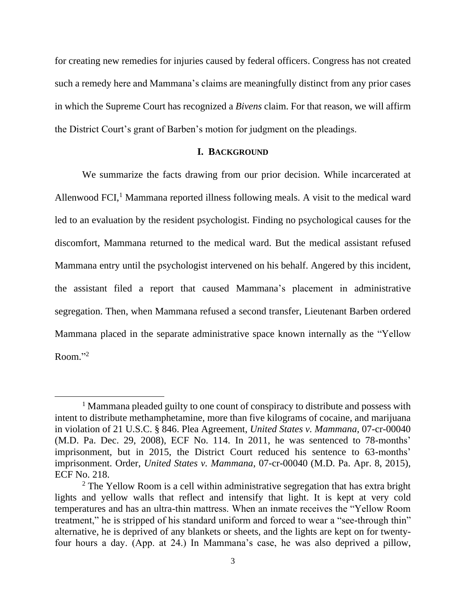for creating new remedies for injuries caused by federal officers. Congress has not created such a remedy here and Mammana's claims are meaningfully distinct from any prior cases in which the Supreme Court has recognized a *Bivens* claim. For that reason, we will affirm the District Court's grant of Barben's motion for judgment on the pleadings.

### **I. BACKGROUND**

We summarize the facts drawing from our prior decision. While incarcerated at Allenwood  $FCI<sub>i</sub><sup>1</sup>$  Mammana reported illness following meals. A visit to the medical ward led to an evaluation by the resident psychologist. Finding no psychological causes for the discomfort, Mammana returned to the medical ward. But the medical assistant refused Mammana entry until the psychologist intervened on his behalf. Angered by this incident, the assistant filed a report that caused Mammana's placement in administrative segregation. Then, when Mammana refused a second transfer, Lieutenant Barben ordered Mammana placed in the separate administrative space known internally as the "Yellow Room." 2

<sup>&</sup>lt;sup>1</sup> Mammana pleaded guilty to one count of conspiracy to distribute and possess with intent to distribute methamphetamine, more than five kilograms of cocaine, and marijuana in violation of 21 U.S.C. § 846. Plea Agreement, *United States v. Mammana*, 07-cr-00040 (M.D. Pa. Dec. 29, 2008), ECF No. 114. In 2011, he was sentenced to 78-months' imprisonment, but in 2015, the District Court reduced his sentence to 63-months' imprisonment. Order, *United States v. Mammana*, 07-cr-00040 (M.D. Pa. Apr. 8, 2015), ECF No. 218.

<sup>&</sup>lt;sup>2</sup> The Yellow Room is a cell within administrative segregation that has extra bright lights and yellow walls that reflect and intensify that light. It is kept at very cold temperatures and has an ultra-thin mattress. When an inmate receives the "Yellow Room treatment," he is stripped of his standard uniform and forced to wear a "see-through thin" alternative, he is deprived of any blankets or sheets, and the lights are kept on for twentyfour hours a day. (App. at 24.) In Mammana's case, he was also deprived a pillow,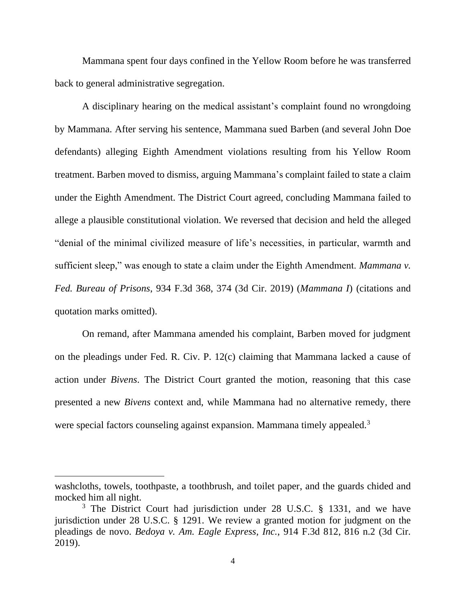Mammana spent four days confined in the Yellow Room before he was transferred back to general administrative segregation.

A disciplinary hearing on the medical assistant's complaint found no wrongdoing by Mammana. After serving his sentence, Mammana sued Barben (and several John Doe defendants) alleging Eighth Amendment violations resulting from his Yellow Room treatment. Barben moved to dismiss, arguing Mammana's complaint failed to state a claim under the Eighth Amendment. The District Court agreed, concluding Mammana failed to allege a plausible constitutional violation. We reversed that decision and held the alleged "denial of the minimal civilized measure of life's necessities, in particular, warmth and sufficient sleep," was enough to state a claim under the Eighth Amendment. *Mammana v. Fed. Bureau of Prisons*, 934 F.3d 368, 374 (3d Cir. 2019) (*Mammana I*) (citations and quotation marks omitted).

On remand, after Mammana amended his complaint, Barben moved for judgment on the pleadings under Fed. R. Civ. P. 12(c) claiming that Mammana lacked a cause of action under *Bivens*. The District Court granted the motion, reasoning that this case presented a new *Bivens* context and, while Mammana had no alternative remedy, there were special factors counseling against expansion. Mammana timely appealed.<sup>3</sup>

washcloths, towels, toothpaste, a toothbrush, and toilet paper, and the guards chided and mocked him all night.

<sup>&</sup>lt;sup>3</sup> The District Court had jurisdiction under 28 U.S.C. § 1331, and we have jurisdiction under 28 U.S.C. § 1291. We review a granted motion for judgment on the pleadings de novo. *Bedoya v. Am. Eagle Express, Inc.*, 914 F.3d 812, 816 n.2 (3d Cir. 2019).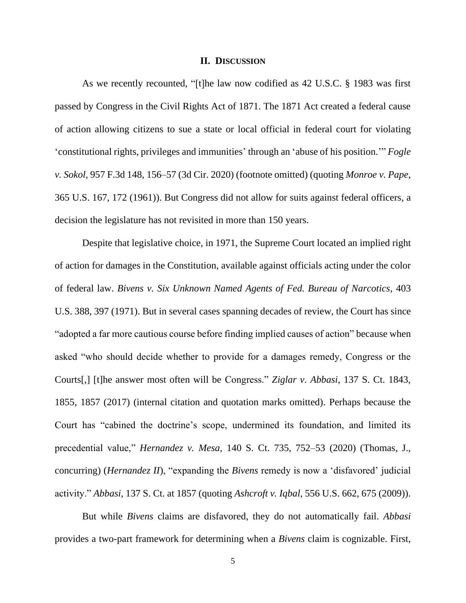#### **II. DISCUSSION**

As we recently recounted, "[t]he law now codified as 42 U.S.C. § 1983 was first passed by Congress in the Civil Rights Act of 1871. The 1871 Act created a federal cause of action allowing citizens to sue a state or local official in federal court for violating 'constitutional rights, privileges and immunities' through an 'abuse of his position.'" *Fogle v. Sokol*, 957 F.3d 148, 156–57 (3d Cir. 2020) (footnote omitted) (quoting *Monroe v. Pape*, 365 U.S. 167, 172 (1961)). But Congress did not allow for suits against federal officers, a decision the legislature has not revisited in more than 150 years.

Despite that legislative choice, in 1971, the Supreme Court located an implied right of action for damages in the Constitution, available against officials acting under the color of federal law. *Bivens v. Six Unknown Named Agents of Fed. Bureau of Narcotics*, 403 U.S. 388, 397 (1971). But in several cases spanning decades of review, the Court has since "adopted a far more cautious course before finding implied causes of action" because when asked "who should decide whether to provide for a damages remedy, Congress or the Courts[,] [t]he answer most often will be Congress." *Ziglar v. Abbasi*, 137 S. Ct. 1843, 1855, 1857 (2017) (internal citation and quotation marks omitted). Perhaps because the Court has "cabined the doctrine's scope, undermined its foundation, and limited its precedential value," *Hernandez v. Mesa*, 140 S. Ct. 735, 752–53 (2020) (Thomas, J., concurring) (*Hernandez II*), "expanding the *Bivens* remedy is now a 'disfavored' judicial activity." *Abbasi*, 137 S. Ct. at 1857 (quoting *Ashcroft v. Iqbal*, 556 U.S. 662, 675 (2009)).

But while *Bivens* claims are disfavored, they do not automatically fail. *Abbasi* provides a two-part framework for determining when a *Bivens* claim is cognizable. First,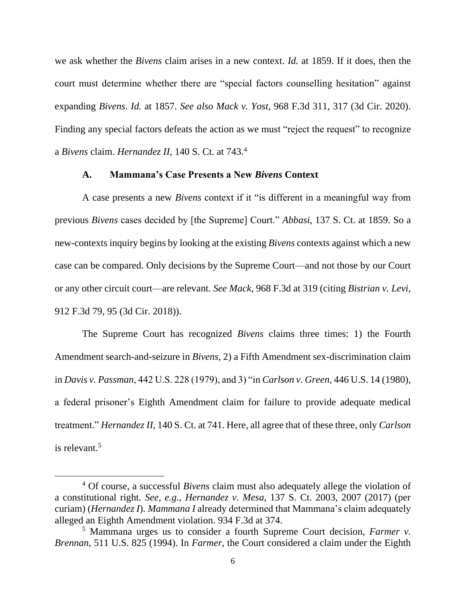we ask whether the *Bivens* claim arises in a new context. *Id.* at 1859. If it does, then the court must determine whether there are "special factors counselling hesitation" against expanding *Bivens*. *Id.* at 1857. *See also Mack v. Yost*, 968 F.3d 311, 317 (3d Cir. 2020). Finding any special factors defeats the action as we must "reject the request" to recognize a *Bivens* claim. *Hernandez II*, 140 S. Ct. at 743.<sup>4</sup>

# **A. Mammana's Case Presents a New** *Bivens* **Context**

A case presents a new *Bivens* context if it "is different in a meaningful way from previous *Bivens* cases decided by [the Supreme] Court." *Abbasi*, 137 S. Ct. at 1859. So a new-contexts inquiry begins by looking at the existing *Bivens* contexts against which a new case can be compared. Only decisions by the Supreme Court—and not those by our Court or any other circuit court—are relevant. *See Mack*, 968 F.3d at 319 (citing *Bistrian v. Levi*, 912 F.3d 79, 95 (3d Cir. 2018)).

The Supreme Court has recognized *Bivens* claims three times: 1) the Fourth Amendment search-and-seizure in *Bivens*, 2) a Fifth Amendment sex-discrimination claim in *Davis v. Passman*, 442 U.S. 228 (1979), and 3) "in *Carlson v. Green*, 446 U.S. 14 (1980), a federal prisoner's Eighth Amendment claim for failure to provide adequate medical treatment." *Hernandez II*, 140 S. Ct. at 741. Here, all agree that of these three, only *Carlson* is relevant.<sup>5</sup>

<sup>4</sup> Of course, a successful *Bivens* claim must also adequately allege the violation of a constitutional right. *See, e.g.*, *Hernandez v. Mesa*, 137 S. Ct. 2003, 2007 (2017) (per curiam) (*Hernandez I*). *Mammana I* already determined that Mammana's claim adequately alleged an Eighth Amendment violation. 934 F.3d at 374.

<sup>5</sup> Mammana urges us to consider a fourth Supreme Court decision, *Farmer v. Brennan*, 511 U.S. 825 (1994). In *Farmer*, the Court considered a claim under the Eighth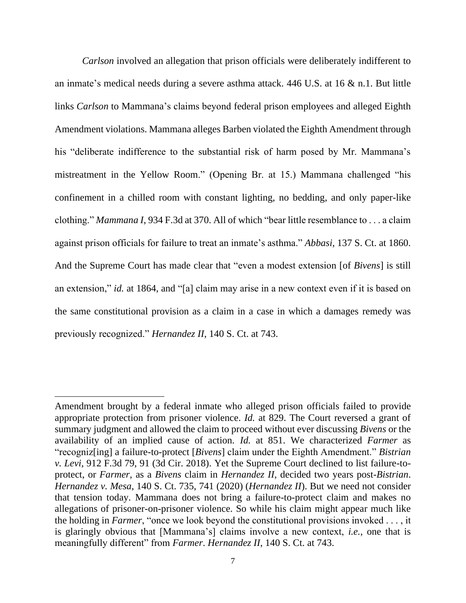*Carlson* involved an allegation that prison officials were deliberately indifferent to an inmate's medical needs during a severe asthma attack. 446 U.S. at 16 & n.1. But little links *Carlson* to Mammana's claims beyond federal prison employees and alleged Eighth Amendment violations. Mammana alleges Barben violated the Eighth Amendment through his "deliberate indifference to the substantial risk of harm posed by Mr. Mammana's mistreatment in the Yellow Room." (Opening Br. at 15.) Mammana challenged "his confinement in a chilled room with constant lighting, no bedding, and only paper-like clothing." *Mammana I*, 934 F.3d at 370. All of which "bear little resemblance to . . . a claim against prison officials for failure to treat an inmate's asthma." *Abbasi*, 137 S. Ct. at 1860. And the Supreme Court has made clear that "even a modest extension [of *Bivens*] is still an extension," *id.* at 1864, and "[a] claim may arise in a new context even if it is based on the same constitutional provision as a claim in a case in which a damages remedy was previously recognized." *Hernandez II*, 140 S. Ct. at 743.

Amendment brought by a federal inmate who alleged prison officials failed to provide appropriate protection from prisoner violence. *Id.* at 829. The Court reversed a grant of summary judgment and allowed the claim to proceed without ever discussing *Bivens* or the availability of an implied cause of action. *Id.* at 851. We characterized *Farmer* as "recogniz[ing] a failure-to-protect [*Bivens*] claim under the Eighth Amendment." *Bistrian v. Levi*, 912 F.3d 79, 91 (3d Cir. 2018). Yet the Supreme Court declined to list failure-toprotect, or *Farmer*, as a *Bivens* claim in *Hernandez II*, decided two years post-*Bistrian*. *Hernandez v. Mesa*, 140 S. Ct. 735, 741 (2020) (*Hernandez II*). But we need not consider that tension today. Mammana does not bring a failure-to-protect claim and makes no allegations of prisoner-on-prisoner violence. So while his claim might appear much like the holding in *Farmer*, "once we look beyond the constitutional provisions invoked . . . , it is glaringly obvious that [Mammana's] claims involve a new context, *i.e.*, one that is meaningfully different" from *Farmer*. *Hernandez II*, 140 S. Ct. at 743.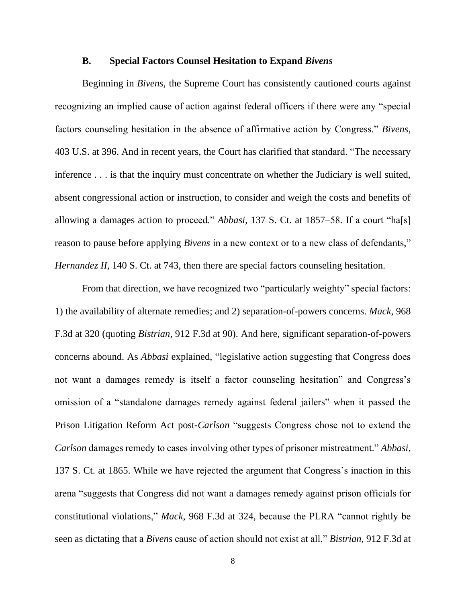### **B. Special Factors Counsel Hesitation to Expand** *Bivens*

Beginning in *Bivens*, the Supreme Court has consistently cautioned courts against recognizing an implied cause of action against federal officers if there were any "special factors counseling hesitation in the absence of affirmative action by Congress." *Bivens*, 403 U.S. at 396. And in recent years, the Court has clarified that standard. "The necessary inference . . . is that the inquiry must concentrate on whether the Judiciary is well suited, absent congressional action or instruction, to consider and weigh the costs and benefits of allowing a damages action to proceed." *Abbasi*, 137 S. Ct. at 1857–58. If a court "ha[s] reason to pause before applying *Bivens* in a new context or to a new class of defendants," *Hernandez II*, 140 S. Ct. at 743, then there are special factors counseling hesitation.

From that direction, we have recognized two "particularly weighty" special factors: 1) the availability of alternate remedies; and 2) separation-of-powers concerns. *Mack*, 968 F.3d at 320 (quoting *Bistrian*, 912 F.3d at 90). And here, significant separation-of-powers concerns abound. As *Abbasi* explained, "legislative action suggesting that Congress does not want a damages remedy is itself a factor counseling hesitation" and Congress's omission of a "standalone damages remedy against federal jailers" when it passed the Prison Litigation Reform Act post-*Carlson* "suggests Congress chose not to extend the *Carlson* damages remedy to cases involving other types of prisoner mistreatment." *Abbasi*, 137 S. Ct. at 1865. While we have rejected the argument that Congress's inaction in this arena "suggests that Congress did not want a damages remedy against prison officials for constitutional violations," *Mack*, 968 F.3d at 324, because the PLRA "cannot rightly be seen as dictating that a *Bivens* cause of action should not exist at all," *Bistrian*, 912 F.3d at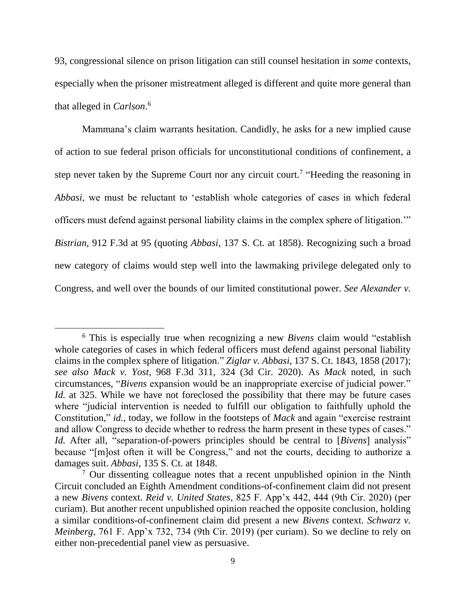93, congressional silence on prison litigation can still counsel hesitation in *some* contexts, especially when the prisoner mistreatment alleged is different and quite more general than that alleged in *Carlson*. 6

Mammana's claim warrants hesitation. Candidly, he asks for a new implied cause of action to sue federal prison officials for unconstitutional conditions of confinement, a step never taken by the Supreme Court nor any circuit court.<sup>7</sup> "Heeding the reasoning in *Abbasi*, we must be reluctant to 'establish whole categories of cases in which federal officers must defend against personal liability claims in the complex sphere of litigation.'" *Bistrian*, 912 F.3d at 95 (quoting *Abbasi*, 137 S. Ct. at 1858). Recognizing such a broad new category of claims would step well into the lawmaking privilege delegated only to Congress, and well over the bounds of our limited constitutional power. *See Alexander v.* 

<sup>6</sup> This is especially true when recognizing a new *Bivens* claim would "establish whole categories of cases in which federal officers must defend against personal liability claims in the complex sphere of litigation." *Ziglar v. Abbasi*, 137 S. Ct. 1843, 1858 (2017); *see also Mack v. Yost*, 968 F.3d 311, 324 (3d Cir. 2020). As *Mack* noted, in such circumstances, "*Bivens* expansion would be an inappropriate exercise of judicial power." *Id.* at 325. While we have not foreclosed the possibility that there may be future cases where "judicial intervention is needed to fulfill our obligation to faithfully uphold the Constitution," *id.*, today, we follow in the footsteps of *Mack* and again "exercise restraint and allow Congress to decide whether to redress the harm present in these types of cases." *Id.* After all, "separation-of-powers principles should be central to [*Bivens*] analysis" because "[m]ost often it will be Congress," and not the courts, deciding to authorize a damages suit. *Abbasi*, 135 S. Ct. at 1848.

<sup>7</sup> Our dissenting colleague notes that a recent unpublished opinion in the Ninth Circuit concluded an Eighth Amendment conditions-of-confinement claim did not present a new *Bivens* context. *Reid v. United States*, 825 F. App'x 442, 444 (9th Cir. 2020) (per curiam). But another recent unpublished opinion reached the opposite conclusion, holding a similar conditions-of-confinement claim did present a new *Bivens* context. *Schwarz v. Meinberg*, 761 F. App'x 732, 734 (9th Cir. 2019) (per curiam). So we decline to rely on either non-precedential panel view as persuasive.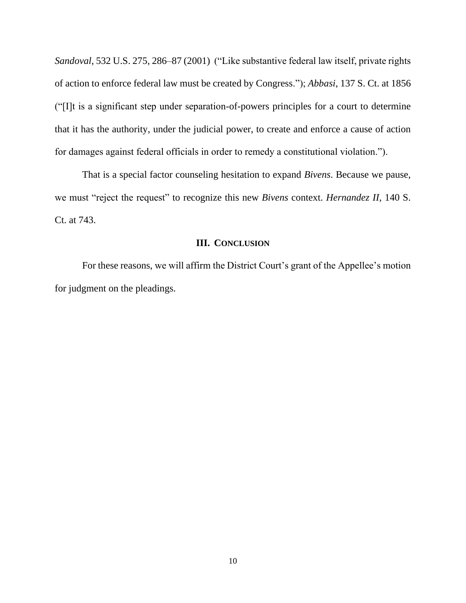*Sandoval*, 532 U.S. 275, 286–87 (2001) ("Like substantive federal law itself, private rights of action to enforce federal law must be created by Congress."); *Abbasi*, 137 S. Ct. at 1856 ("[I]t is a significant step under separation-of-powers principles for a court to determine that it has the authority, under the judicial power, to create and enforce a cause of action for damages against federal officials in order to remedy a constitutional violation.").

That is a special factor counseling hesitation to expand *Bivens*. Because we pause, we must "reject the request" to recognize this new *Bivens* context. *Hernandez II*, 140 S. Ct. at 743.

### **III. CONCLUSION**

For these reasons, we will affirm the District Court's grant of the Appellee's motion for judgment on the pleadings.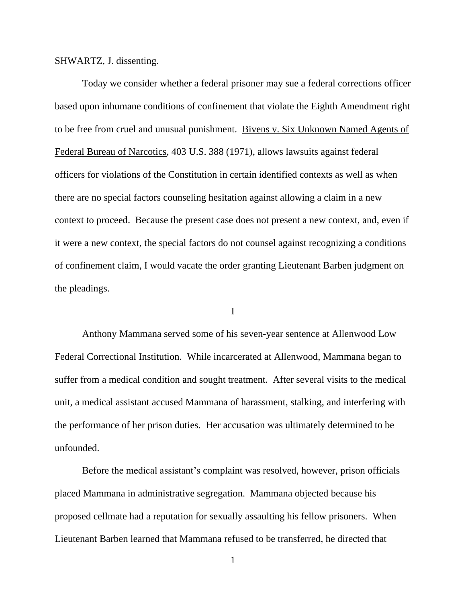SHWARTZ, J. dissenting.

Today we consider whether a federal prisoner may sue a federal corrections officer based upon inhumane conditions of confinement that violate the Eighth Amendment right to be free from cruel and unusual punishment. Bivens v. Six Unknown Named Agents of Federal Bureau of Narcotics, 403 U.S. 388 (1971), allows lawsuits against federal officers for violations of the Constitution in certain identified contexts as well as when there are no special factors counseling hesitation against allowing a claim in a new context to proceed. Because the present case does not present a new context, and, even if it were a new context, the special factors do not counsel against recognizing a conditions of confinement claim, I would vacate the order granting Lieutenant Barben judgment on the pleadings.

I

Anthony Mammana served some of his seven-year sentence at Allenwood Low Federal Correctional Institution. While incarcerated at Allenwood, Mammana began to suffer from a medical condition and sought treatment. After several visits to the medical unit, a medical assistant accused Mammana of harassment, stalking, and interfering with the performance of her prison duties. Her accusation was ultimately determined to be unfounded.

Before the medical assistant's complaint was resolved, however, prison officials placed Mammana in administrative segregation. Mammana objected because his proposed cellmate had a reputation for sexually assaulting his fellow prisoners. When Lieutenant Barben learned that Mammana refused to be transferred, he directed that

1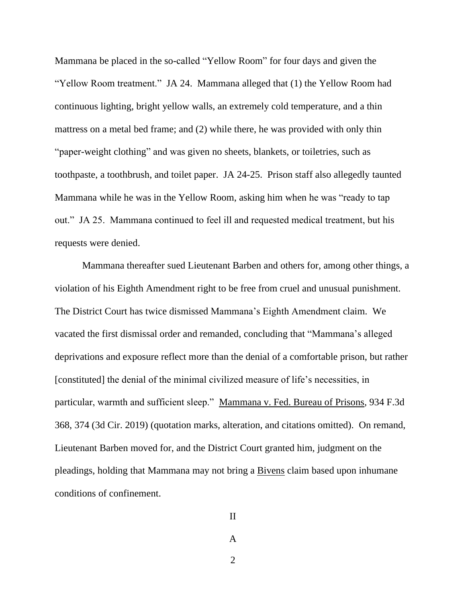Mammana be placed in the so-called "Yellow Room" for four days and given the "Yellow Room treatment." JA 24. Mammana alleged that (1) the Yellow Room had continuous lighting, bright yellow walls, an extremely cold temperature, and a thin mattress on a metal bed frame; and (2) while there, he was provided with only thin "paper-weight clothing" and was given no sheets, blankets, or toiletries, such as toothpaste, a toothbrush, and toilet paper. JA 24-25. Prison staff also allegedly taunted Mammana while he was in the Yellow Room, asking him when he was "ready to tap out." JA 25. Mammana continued to feel ill and requested medical treatment, but his requests were denied.

Mammana thereafter sued Lieutenant Barben and others for, among other things, a violation of his Eighth Amendment right to be free from cruel and unusual punishment. The District Court has twice dismissed Mammana's Eighth Amendment claim. We vacated the first dismissal order and remanded, concluding that "Mammana's alleged deprivations and exposure reflect more than the denial of a comfortable prison, but rather [constituted] the denial of the minimal civilized measure of life's necessities, in particular, warmth and sufficient sleep." Mammana v. Fed. Bureau of Prisons, 934 F.3d 368, 374 (3d Cir. 2019) (quotation marks, alteration, and citations omitted). On remand, Lieutenant Barben moved for, and the District Court granted him, judgment on the pleadings, holding that Mammana may not bring a Bivens claim based upon inhumane conditions of confinement.

II

2

A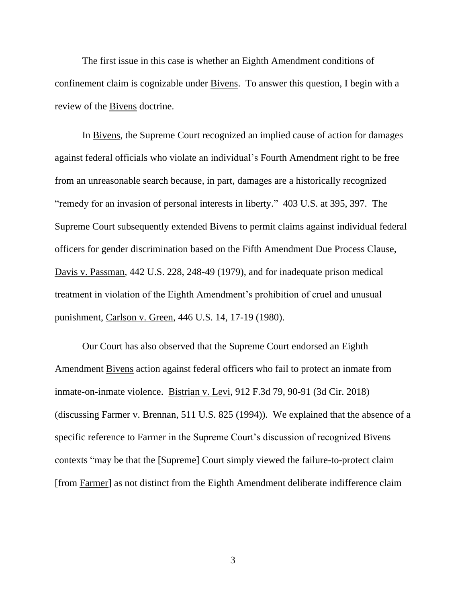The first issue in this case is whether an Eighth Amendment conditions of confinement claim is cognizable under Bivens. To answer this question, I begin with a review of the Bivens doctrine.

In Bivens, the Supreme Court recognized an implied cause of action for damages against federal officials who violate an individual's Fourth Amendment right to be free from an unreasonable search because, in part, damages are a historically recognized "remedy for an invasion of personal interests in liberty." 403 U.S. at 395, 397. The Supreme Court subsequently extended Bivens to permit claims against individual federal officers for gender discrimination based on the Fifth Amendment Due Process Clause, Davis v. Passman, 442 U.S. 228, 248-49 (1979), and for inadequate prison medical treatment in violation of the Eighth Amendment's prohibition of cruel and unusual punishment, Carlson v. Green, 446 U.S. 14, 17-19 (1980).

Our Court has also observed that the Supreme Court endorsed an Eighth Amendment Bivens action against federal officers who fail to protect an inmate from inmate-on-inmate violence. Bistrian v. Levi, 912 F.3d 79, 90-91 (3d Cir. 2018) (discussing Farmer v. Brennan, 511 U.S. 825 (1994)). We explained that the absence of a specific reference to Farmer in the Supreme Court's discussion of recognized Bivens contexts "may be that the [Supreme] Court simply viewed the failure-to-protect claim [from Farmer] as not distinct from the Eighth Amendment deliberate indifference claim

3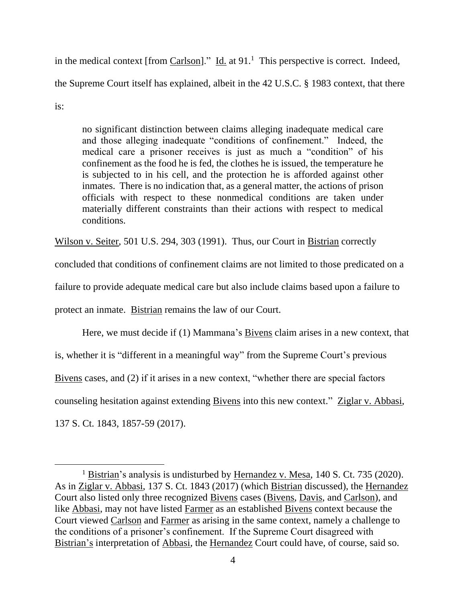in the medical context [from  $Carlson$ ]." Id. at 91.<sup>1</sup> This perspective is correct. Indeed, the Supreme Court itself has explained, albeit in the 42 U.S.C. § 1983 context, that there is:

no significant distinction between claims alleging inadequate medical care and those alleging inadequate "conditions of confinement." Indeed, the medical care a prisoner receives is just as much a "condition" of his confinement as the food he is fed, the clothes he is issued, the temperature he is subjected to in his cell, and the protection he is afforded against other inmates. There is no indication that, as a general matter, the actions of prison officials with respect to these nonmedical conditions are taken under materially different constraints than their actions with respect to medical conditions.

Wilson v. Seiter, 501 U.S. 294, 303 (1991). Thus, our Court in Bistrian correctly

concluded that conditions of confinement claims are not limited to those predicated on a

failure to provide adequate medical care but also include claims based upon a failure to

protect an inmate. Bistrian remains the law of our Court.

Here, we must decide if (1) Mammana's Bivens claim arises in a new context, that is, whether it is "different in a meaningful way" from the Supreme Court's previous Bivens cases, and (2) if it arises in a new context, "whether there are special factors counseling hesitation against extending Bivens into this new context." Ziglar v. Abbasi, 137 S. Ct. 1843, 1857-59 (2017).

<sup>&</sup>lt;sup>1</sup> Bistrian's analysis is undisturbed by Hernandez v. Mesa, 140 S. Ct. 735 (2020). As in Ziglar v. Abbasi, 137 S. Ct. 1843 (2017) (which Bistrian discussed), the Hernandez Court also listed only three recognized Bivens cases (Bivens, Davis, and Carlson), and like Abbasi, may not have listed Farmer as an established Bivens context because the Court viewed Carlson and Farmer as arising in the same context, namely a challenge to the conditions of a prisoner's confinement. If the Supreme Court disagreed with Bistrian's interpretation of Abbasi, the Hernandez Court could have, of course, said so.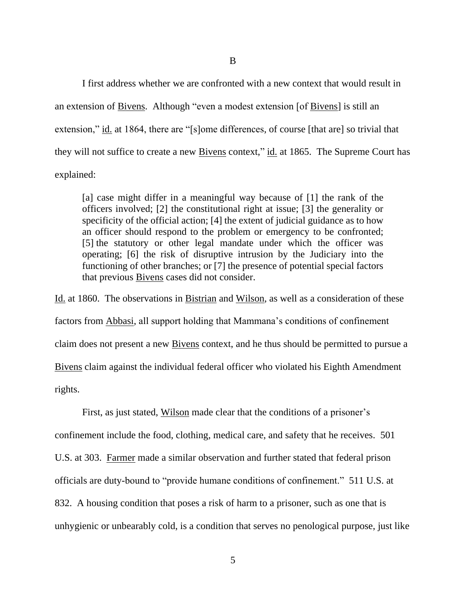B

I first address whether we are confronted with a new context that would result in an extension of Bivens. Although "even a modest extension [of Bivens] is still an extension," id. at 1864, there are "[s]ome differences, of course [that are] so trivial that they will not suffice to create a new Bivens context," id. at 1865. The Supreme Court has explained:

[a] case might differ in a meaningful way because of [1] the rank of the officers involved; [2] the constitutional right at issue; [3] the generality or specificity of the official action; [4] the extent of judicial guidance as to how an officer should respond to the problem or emergency to be confronted; [5] the statutory or other legal mandate under which the officer was operating; [6] the risk of disruptive intrusion by the Judiciary into the functioning of other branches; or [7] the presence of potential special factors that previous Bivens cases did not consider.

Id. at 1860. The observations in Bistrian and Wilson, as well as a consideration of these factors from Abbasi, all support holding that Mammana's conditions of confinement claim does not present a new Bivens context, and he thus should be permitted to pursue a Bivens claim against the individual federal officer who violated his Eighth Amendment rights.

First, as just stated, Wilson made clear that the conditions of a prisoner's confinement include the food, clothing, medical care, and safety that he receives. 501 U.S. at 303. Farmer made a similar observation and further stated that federal prison officials are duty-bound to "provide humane conditions of confinement." 511 U.S. at 832. A housing condition that poses a risk of harm to a prisoner, such as one that is unhygienic or unbearably cold, is a condition that serves no penological purpose, just like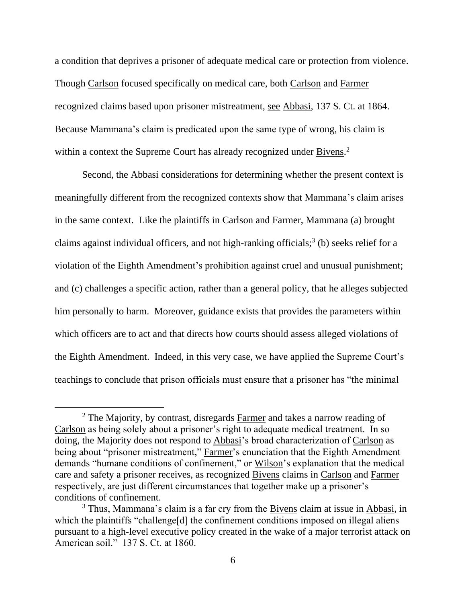a condition that deprives a prisoner of adequate medical care or protection from violence. Though Carlson focused specifically on medical care, both Carlson and Farmer recognized claims based upon prisoner mistreatment, see Abbasi, 137 S. Ct. at 1864. Because Mammana's claim is predicated upon the same type of wrong, his claim is within a context the Supreme Court has already recognized under Bivens.<sup>2</sup>

Second, the Abbasi considerations for determining whether the present context is meaningfully different from the recognized contexts show that Mammana's claim arises in the same context. Like the plaintiffs in Carlson and Farmer, Mammana (a) brought claims against individual officers, and not high-ranking officials; 3 (b) seeks relief for a violation of the Eighth Amendment's prohibition against cruel and unusual punishment; and (c) challenges a specific action, rather than a general policy, that he alleges subjected him personally to harm. Moreover, guidance exists that provides the parameters within which officers are to act and that directs how courts should assess alleged violations of the Eighth Amendment. Indeed, in this very case, we have applied the Supreme Court's teachings to conclude that prison officials must ensure that a prisoner has "the minimal

<sup>&</sup>lt;sup>2</sup> The Majority, by contrast, disregards Farmer and takes a narrow reading of Carlson as being solely about a prisoner's right to adequate medical treatment. In so doing, the Majority does not respond to Abbasi's broad characterization of Carlson as being about "prisoner mistreatment," Farmer's enunciation that the Eighth Amendment demands "humane conditions of confinement," or Wilson's explanation that the medical care and safety a prisoner receives, as recognized Bivens claims in Carlson and Farmer respectively, are just different circumstances that together make up a prisoner's conditions of confinement.

<sup>&</sup>lt;sup>3</sup> Thus, Mammana's claim is a far cry from the Bivens claim at issue in Abbasi, in which the plaintiffs "challenge<sup>[d]</sup> the confinement conditions imposed on illegal aliens pursuant to a high-level executive policy created in the wake of a major terrorist attack on American soil." 137 S. Ct. at 1860.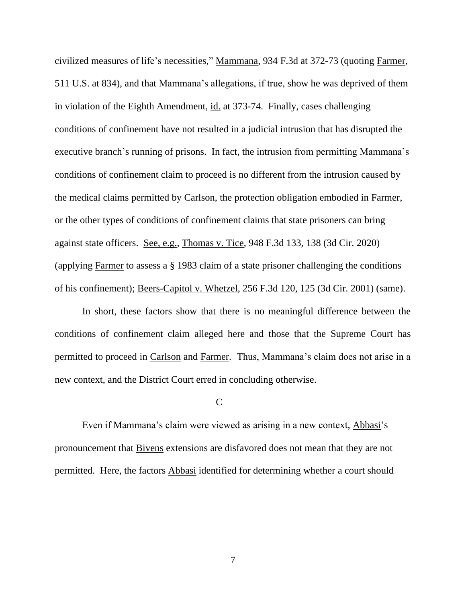civilized measures of life's necessities," Mammana, 934 F.3d at 372-73 (quoting Farmer, 511 U.S. at 834), and that Mammana's allegations, if true, show he was deprived of them in violation of the Eighth Amendment, id. at 373-74. Finally, cases challenging conditions of confinement have not resulted in a judicial intrusion that has disrupted the executive branch's running of prisons. In fact, the intrusion from permitting Mammana's conditions of confinement claim to proceed is no different from the intrusion caused by the medical claims permitted by Carlson, the protection obligation embodied in Farmer, or the other types of conditions of confinement claims that state prisoners can bring against state officers. See, e.g., Thomas v. Tice, 948 F.3d 133, 138 (3d Cir. 2020) (applying Farmer to assess a § 1983 claim of a state prisoner challenging the conditions of his confinement); Beers-Capitol v. Whetzel, 256 F.3d 120, 125 (3d Cir. 2001) (same).

In short, these factors show that there is no meaningful difference between the conditions of confinement claim alleged here and those that the Supreme Court has permitted to proceed in Carlson and Farmer. Thus, Mammana's claim does not arise in a new context, and the District Court erred in concluding otherwise.

 $\mathbf C$ 

Even if Mammana's claim were viewed as arising in a new context, Abbasi's pronouncement that Bivens extensions are disfavored does not mean that they are not permitted. Here, the factors Abbasi identified for determining whether a court should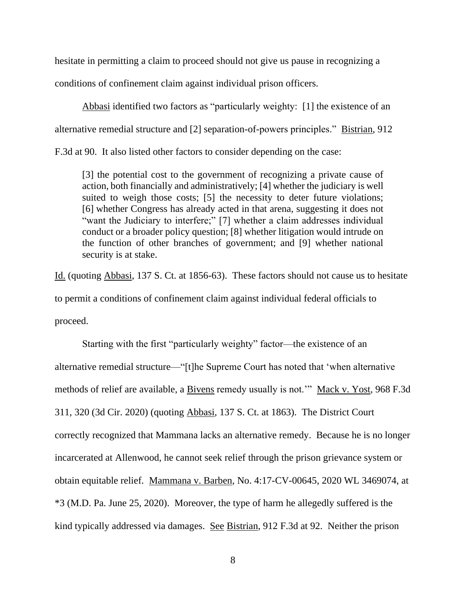hesitate in permitting a claim to proceed should not give us pause in recognizing a conditions of confinement claim against individual prison officers.

Abbasi identified two factors as "particularly weighty: [1] the existence of an alternative remedial structure and [2] separation-of-powers principles." Bistrian, 912

F.3d at 90. It also listed other factors to consider depending on the case:

[3] the potential cost to the government of recognizing a private cause of action, both financially and administratively; [4] whether the judiciary is well suited to weigh those costs; [5] the necessity to deter future violations; [6] whether Congress has already acted in that arena, suggesting it does not "want the Judiciary to interfere;" [7] whether a claim addresses individual conduct or a broader policy question; [8] whether litigation would intrude on the function of other branches of government; and [9] whether national security is at stake.

Id. (quoting Abbasi, 137 S. Ct. at 1856-63). These factors should not cause us to hesitate to permit a conditions of confinement claim against individual federal officials to proceed.

Starting with the first "particularly weighty" factor—the existence of an alternative remedial structure—"[t]he Supreme Court has noted that 'when alternative methods of relief are available, a Bivens remedy usually is not.'" Mack v. Yost, 968 F.3d 311, 320 (3d Cir. 2020) (quoting Abbasi, 137 S. Ct. at 1863). The District Court correctly recognized that Mammana lacks an alternative remedy. Because he is no longer incarcerated at Allenwood, he cannot seek relief through the prison grievance system or obtain equitable relief. Mammana v. Barben, No. 4:17-CV-00645, 2020 WL 3469074, at \*3 (M.D. Pa. June 25, 2020). Moreover, the type of harm he allegedly suffered is the kind typically addressed via damages. See Bistrian, 912 F.3d at 92. Neither the prison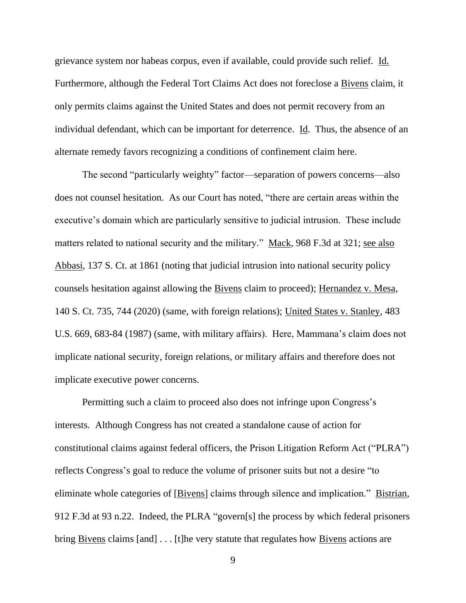grievance system nor habeas corpus, even if available, could provide such relief. Id. Furthermore, although the Federal Tort Claims Act does not foreclose a Bivens claim, it only permits claims against the United States and does not permit recovery from an individual defendant, which can be important for deterrence. Id. Thus, the absence of an alternate remedy favors recognizing a conditions of confinement claim here.

The second "particularly weighty" factor—separation of powers concerns—also does not counsel hesitation. As our Court has noted, "there are certain areas within the executive's domain which are particularly sensitive to judicial intrusion. These include matters related to national security and the military." Mack, 968 F.3d at 321; see also Abbasi, 137 S. Ct. at 1861 (noting that judicial intrusion into national security policy counsels hesitation against allowing the Bivens claim to proceed); Hernandez v. Mesa, 140 S. Ct. 735, 744 (2020) (same, with foreign relations); United States v. Stanley, 483 U.S. 669, 683-84 (1987) (same, with military affairs). Here, Mammana's claim does not implicate national security, foreign relations, or military affairs and therefore does not implicate executive power concerns.

Permitting such a claim to proceed also does not infringe upon Congress's interests. Although Congress has not created a standalone cause of action for constitutional claims against federal officers, the Prison Litigation Reform Act ("PLRA") reflects Congress's goal to reduce the volume of prisoner suits but not a desire "to eliminate whole categories of [Bivens] claims through silence and implication." Bistrian, 912 F.3d at 93 n.22. Indeed, the PLRA "govern[s] the process by which federal prisoners bring Bivens claims [and] . . . [t]he very statute that regulates how Bivens actions are

9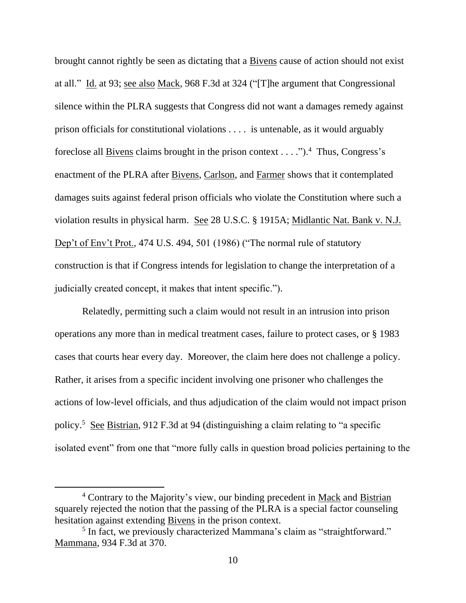brought cannot rightly be seen as dictating that a Bivens cause of action should not exist at all." Id. at 93; see also Mack, 968 F.3d at 324 ("[T]he argument that Congressional silence within the PLRA suggests that Congress did not want a damages remedy against prison officials for constitutional violations . . . . is untenable, as it would arguably foreclose all **Bivens** claims brought in the prison context  $\dots$ .").<sup>4</sup> Thus, Congress's enactment of the PLRA after Bivens, Carlson, and Farmer shows that it contemplated damages suits against federal prison officials who violate the Constitution where such a violation results in physical harm. See 28 U.S.C. § 1915A; Midlantic Nat. Bank v. N.J. Dep't of Env't Prot., 474 U.S. 494, 501 (1986) ("The normal rule of statutory construction is that if Congress intends for legislation to change the interpretation of a judicially created concept, it makes that intent specific.").

Relatedly, permitting such a claim would not result in an intrusion into prison operations any more than in medical treatment cases, failure to protect cases, or § 1983 cases that courts hear every day. Moreover, the claim here does not challenge a policy. Rather, it arises from a specific incident involving one prisoner who challenges the actions of low-level officials, and thus adjudication of the claim would not impact prison policy.<sup>5</sup> See Bistrian, 912 F.3d at 94 (distinguishing a claim relating to "a specific isolated event" from one that "more fully calls in question broad policies pertaining to the

<sup>&</sup>lt;sup>4</sup> Contrary to the Majority's view, our binding precedent in Mack and Bistrian squarely rejected the notion that the passing of the PLRA is a special factor counseling hesitation against extending Bivens in the prison context.

<sup>&</sup>lt;sup>5</sup> In fact, we previously characterized Mammana's claim as "straightforward." Mammana, 934 F.3d at 370.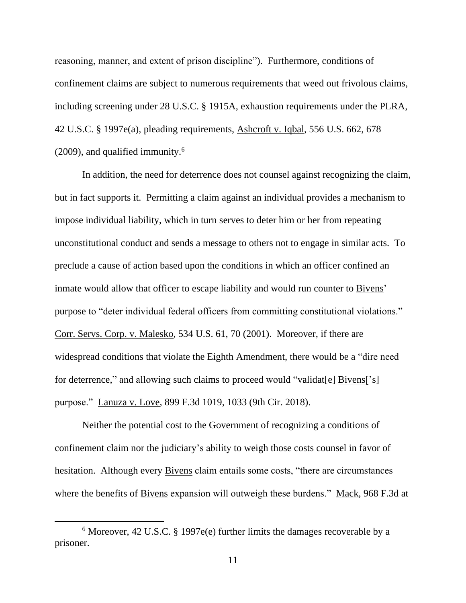reasoning, manner, and extent of prison discipline"). Furthermore, conditions of confinement claims are subject to numerous requirements that weed out frivolous claims, including screening under 28 U.S.C. § 1915A, exhaustion requirements under the PLRA, 42 U.S.C. § 1997e(a), pleading requirements, Ashcroft v. Iqbal, 556 U.S. 662, 678  $(2009)$ , and qualified immunity.<sup>6</sup>

In addition, the need for deterrence does not counsel against recognizing the claim, but in fact supports it. Permitting a claim against an individual provides a mechanism to impose individual liability, which in turn serves to deter him or her from repeating unconstitutional conduct and sends a message to others not to engage in similar acts. To preclude a cause of action based upon the conditions in which an officer confined an inmate would allow that officer to escape liability and would run counter to Bivens' purpose to "deter individual federal officers from committing constitutional violations." Corr. Servs. Corp. v. Malesko, 534 U.S. 61, 70 (2001). Moreover, if there are widespread conditions that violate the Eighth Amendment, there would be a "dire need for deterrence," and allowing such claims to proceed would "validat[e] Bivens['s] purpose." Lanuza v. Love, 899 F.3d 1019, 1033 (9th Cir. 2018).

Neither the potential cost to the Government of recognizing a conditions of confinement claim nor the judiciary's ability to weigh those costs counsel in favor of hesitation. Although every **Bivens** claim entails some costs, "there are circumstances where the benefits of Bivens expansion will outweigh these burdens." Mack, 968 F.3d at

<sup>6</sup> Moreover, 42 U.S.C. § 1997e(e) further limits the damages recoverable by a prisoner.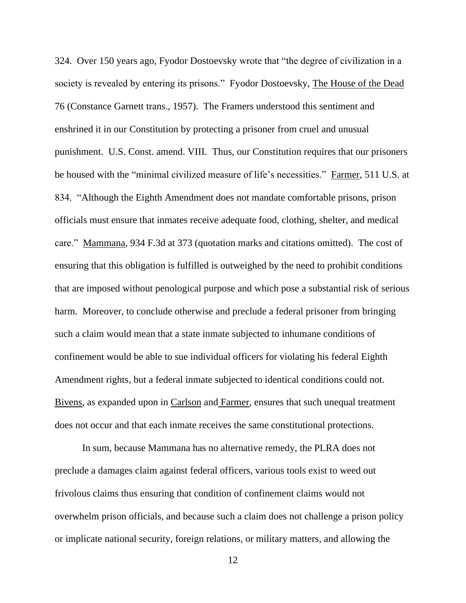324. Over 150 years ago, Fyodor Dostoevsky wrote that "the degree of civilization in a society is revealed by entering its prisons." Fyodor Dostoevsky, The House of the Dead 76 (Constance Garnett trans., 1957). The Framers understood this sentiment and enshrined it in our Constitution by protecting a prisoner from cruel and unusual punishment. U.S. Const. amend. VIII. Thus, our Constitution requires that our prisoners be housed with the "minimal civilized measure of life's necessities." Farmer, 511 U.S. at 834. "Although the Eighth Amendment does not mandate comfortable prisons, prison officials must ensure that inmates receive adequate food, clothing, shelter, and medical care." Mammana, 934 F.3d at 373 (quotation marks and citations omitted). The cost of ensuring that this obligation is fulfilled is outweighed by the need to prohibit conditions that are imposed without penological purpose and which pose a substantial risk of serious harm. Moreover, to conclude otherwise and preclude a federal prisoner from bringing such a claim would mean that a state inmate subjected to inhumane conditions of confinement would be able to sue individual officers for violating his federal Eighth Amendment rights, but a federal inmate subjected to identical conditions could not. Bivens, as expanded upon in Carlson and Farmer, ensures that such unequal treatment does not occur and that each inmate receives the same constitutional protections.

 In sum, because Mammana has no alternative remedy, the PLRA does not preclude a damages claim against federal officers, various tools exist to weed out frivolous claims thus ensuring that condition of confinement claims would not overwhelm prison officials, and because such a claim does not challenge a prison policy or implicate national security, foreign relations, or military matters, and allowing the

12